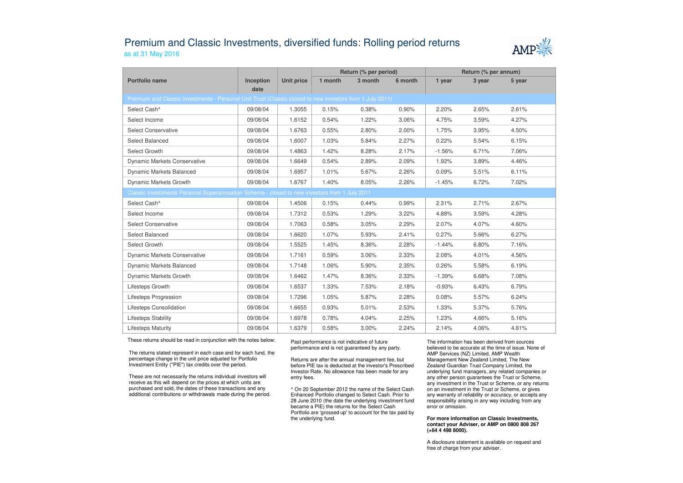## Premium and Classic Investments, diversified funds: Rolling period returnsas at 31 May 2016



|                                                                                                          |                   |                   | Return (% per period) |         |         | Return (% per annum) |        |        |  |  |  |
|----------------------------------------------------------------------------------------------------------|-------------------|-------------------|-----------------------|---------|---------|----------------------|--------|--------|--|--|--|
| Portfolio name                                                                                           | Inception<br>date | <b>Unit price</b> | 1 month               | 3 month | 6 month | 1 year               | 3 year | 5 year |  |  |  |
| Premium and Classic Investments - Personal Unit Trust (Classic closed to new investors from 1 July 2011) |                   |                   |                       |         |         |                      |        |        |  |  |  |
| Select Cash^                                                                                             | 09/08/04          | 1.3055            | 0.15%                 | 0.38%   | 0.90%   | 2.20%                | 2.65%  | 2.61%  |  |  |  |
| Select Income                                                                                            | 09/08/04          | 1.6152            | 0.54%                 | 1.22%   | 3.06%   | 4.75%                | 3.59%  | 4.27%  |  |  |  |
| <b>Select Conservative</b>                                                                               | 09/08/04          | 1.6763            | 0.55%                 | 2.80%   | 2.00%   | 1.75%                | 3.95%  | 4.50%  |  |  |  |
| Select Balanced                                                                                          | 09/08/04          | 1.6007            | 1.03%                 | 5.84%   | 2.27%   | 0.22%                | 5.54%  | 6.15%  |  |  |  |
| Select Growth                                                                                            | 09/08/04          | 1.4863            | 1.42%                 | 8.28%   | 2.17%   | $-1.56%$             | 6.71%  | 7.06%  |  |  |  |
| Dynamic Markets Conservative                                                                             | 09/08/04          | 1.6649            | 0.54%                 | 2.89%   | 2.09%   | 1.92%                | 3.89%  | 4.46%  |  |  |  |
| Dynamic Markets Balanced                                                                                 | 09/08/04          | 1.6957            | 1.01%                 | 5.67%   | 2.26%   | 0.09%                | 5.51%  | 6.11%  |  |  |  |
| Dynamic Markets Growth                                                                                   | 09/08/04          | 1.6767            | 1.40%                 | 8.05%   | 2.26%   | $-1.45%$             | 6.72%  | 7.02%  |  |  |  |
| Classic Investments Personal Superannuation Scheme - closed to new investors from 1 July 2011            |                   |                   |                       |         |         |                      |        |        |  |  |  |
| Select Cash^                                                                                             | 09/08/04          | 1.4506            | 0.15%                 | 0.44%   | 0.99%   | 2.31%                | 2.71%  | 2.67%  |  |  |  |
| Select Income                                                                                            | 09/08/04          | 1.7312            | 0.53%                 | 1.29%   | 3.22%   | 4.88%                | 3.59%  | 4.28%  |  |  |  |
| <b>Select Conservative</b>                                                                               | 09/08/04          | 1.7063            | 0.58%                 | 3.05%   | 2.29%   | 2.07%                | 4.07%  | 4.60%  |  |  |  |
| Select Balanced                                                                                          | 09/08/04          | 1.6620            | 1.07%                 | 5.93%   | 2.41%   | 0.27%                | 5.66%  | 6.27%  |  |  |  |
| Select Growth                                                                                            | 09/08/04          | 1.5525            | 1.45%                 | 8.36%   | 2.28%   | $-1.44%$             | 6.80%  | 7.16%  |  |  |  |
| <b>Dynamic Markets Conservative</b>                                                                      | 09/08/04          | 1.7161            | 0.59%                 | 3.06%   | 2.33%   | 2.08%                | 4.01%  | 4.56%  |  |  |  |
| Dynamic Markets Balanced                                                                                 | 09/08/04          | 1.7148            | 1.06%                 | 5.90%   | 2.35%   | 0.26%                | 5.58%  | 6.19%  |  |  |  |
| Dynamic Markets Growth                                                                                   | 09/08/04          | 1.6462            | 1.47%                 | 8.36%   | 2.33%   | $-1.39%$             | 6.68%  | 7.08%  |  |  |  |
| Lifesteps Growth                                                                                         | 09/08/04          | 1.6537            | 1.33%                 | 7.53%   | 2.18%   | $-0.93%$             | 6.43%  | 6.79%  |  |  |  |
| Lifesteps Progression                                                                                    | 09/08/04          | 1.7296            | 1.05%                 | 5.87%   | 2.28%   | 0.08%                | 5.57%  | 6.24%  |  |  |  |
| Lifesteps Consolidation                                                                                  | 09/08/04          | 1.6655            | 0.93%                 | 5.01%   | 2.53%   | 1.33%                | 5.37%  | 5.76%  |  |  |  |
| <b>Lifesteps Stability</b>                                                                               | 09/08/04          | 1.6978            | 0.78%                 | 4.04%   | 2.25%   | 1.23%                | 4.66%  | 5.16%  |  |  |  |
| <b>Lifesteps Maturity</b>                                                                                | 09/08/04          | 1.6379            | 0.58%                 | 3.00%   | 2.24%   | 2.14%                | 4.06%  | 4.61%  |  |  |  |

These returns should be read in conjunction with the notes below:

The returns stated represent in each case and for each fund, the percentage change in the unit price adjusted for Portfolio Investment Entity ("PIE") tax credits over the period.

These are not necessarily the returns individual investors will receive as this will depend on the prices at which units are purchased and sold, the dates of these transactions and any additional contributions or withdrawals made during the period. Past performance is not indicative of future performance and is not guaranteed by any party.

Returns are after the annual management fee, but before PIE tax is deducted at the investor's Prescribed Investor Rate. No allowance has been made for any entry fees.

^ On 20 September 2012 the name of the Select Cash Enhanced Portfolio changed to Select Cash. Prior to 28 June 2010 (the date the underlying investment fund became a PIE) the returns for the Select Cash Portfolio are 'grossed up' to account for the tax paid by the underlying fund.

The information has been derived from sources believed to be accurate at the time of issue. None of AMP Services (NZ) Limited, AMP Wealth Management New Zealand Limited, The New Zealand Guardian Trust Company Limited, the underlying fund managers, any related companies or any other person guarantees the Trust or Scheme, any investment in the Trust or Scheme, or any returns on an investment in the Trust or Scheme, or gives any warranty of reliability or accuracy, or accepts any responsibility arising in any way including from any error or omission.

## **For more information on Classic Investments, contact your Adviser, or AMP on 0800 808 267 (+64 4 498 8000).**

A disclosure statement is available on request and free of charge from your adviser.